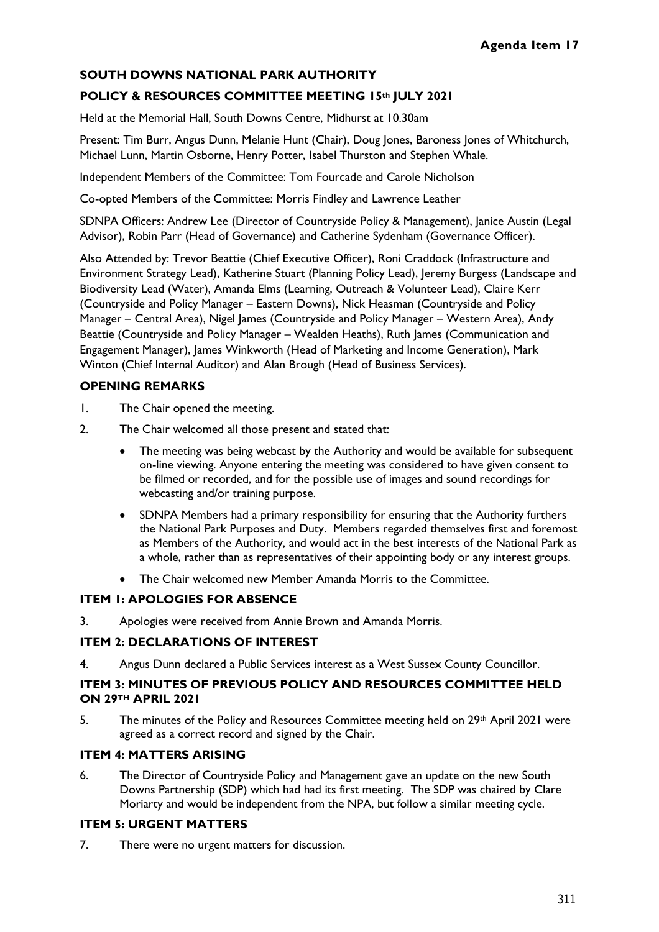# **SOUTH DOWNS NATIONAL PARK AUTHORITY**

# **POLICY & RESOURCES COMMITTEE MEETING 15th JULY 2021**

Held at the Memorial Hall, South Downs Centre, Midhurst at 10.30am

Present: Tim Burr, Angus Dunn, Melanie Hunt (Chair), Doug Jones, Baroness Jones of Whitchurch, Michael Lunn, Martin Osborne, Henry Potter, Isabel Thurston and Stephen Whale.

Independent Members of the Committee: Tom Fourcade and Carole Nicholson

Co-opted Members of the Committee: Morris Findley and Lawrence Leather

SDNPA Officers: Andrew Lee (Director of Countryside Policy & Management), Janice Austin (Legal Advisor), Robin Parr (Head of Governance) and Catherine Sydenham (Governance Officer).

Also Attended by: Trevor Beattie (Chief Executive Officer), Roni Craddock (Infrastructure and Environment Strategy Lead), Katherine Stuart (Planning Policy Lead), Jeremy Burgess (Landscape and Biodiversity Lead (Water), Amanda Elms (Learning, Outreach & Volunteer Lead), Claire Kerr (Countryside and Policy Manager – Eastern Downs), Nick Heasman (Countryside and Policy Manager – Central Area), Nigel James (Countryside and Policy Manager – Western Area), Andy Beattie (Countryside and Policy Manager – Wealden Heaths), Ruth James (Communication and Engagement Manager), James Winkworth (Head of Marketing and Income Generation), Mark Winton (Chief Internal Auditor) and Alan Brough (Head of Business Services).

# **OPENING REMARKS**

- 1. The Chair opened the meeting.
- 2. The Chair welcomed all those present and stated that:
	- The meeting was being webcast by the Authority and would be available for subsequent on-line viewing. Anyone entering the meeting was considered to have given consent to be filmed or recorded, and for the possible use of images and sound recordings for webcasting and/or training purpose.
	- SDNPA Members had a primary responsibility for ensuring that the Authority furthers the National Park Purposes and Duty. Members regarded themselves first and foremost as Members of the Authority, and would act in the best interests of the National Park as a whole, rather than as representatives of their appointing body or any interest groups.
	- The Chair welcomed new Member Amanda Morris to the Committee.

### **ITEM 1: APOLOGIES FOR ABSENCE**

3. Apologies were received from Annie Brown and Amanda Morris.

#### **ITEM 2: DECLARATIONS OF INTEREST**

4. Angus Dunn declared a Public Services interest as a West Sussex County Councillor.

### **ITEM 3: MINUTES OF PREVIOUS POLICY AND RESOURCES COMMITTEE HELD ON 29TH APRIL 2021**

5. The minutes of the Policy and Resources Committee meeting held on 29<sup>th</sup> April 2021 were agreed as a correct record and signed by the Chair.

#### **ITEM 4: MATTERS ARISING**

6. The Director of Countryside Policy and Management gave an update on the new South Downs Partnership (SDP) which had had its first meeting. The SDP was chaired by Clare Moriarty and would be independent from the NPA, but follow a similar meeting cycle.

#### **ITEM 5: URGENT MATTERS**

7. There were no urgent matters for discussion.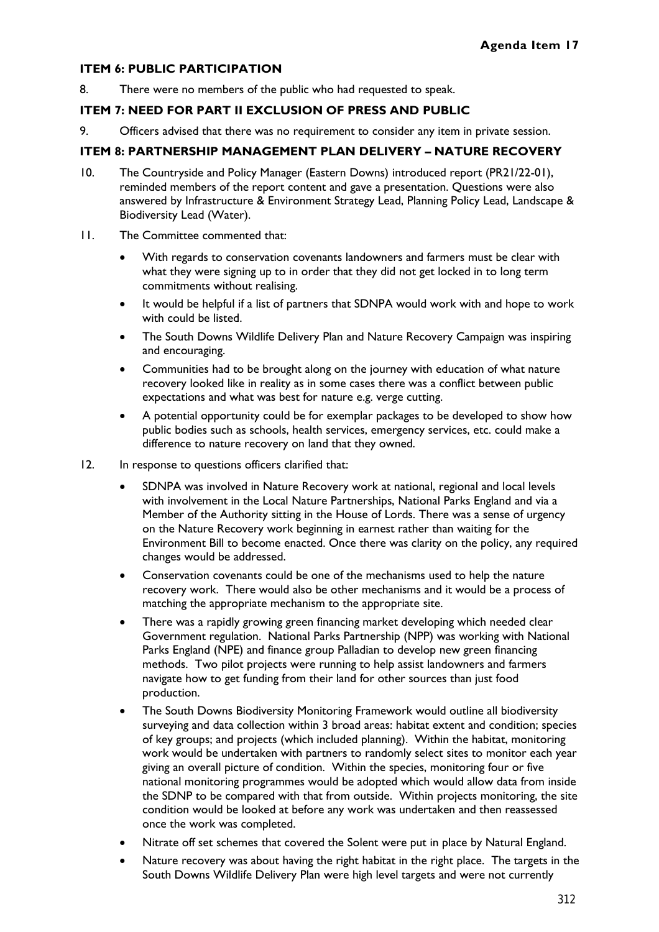### **ITEM 6: PUBLIC PARTICIPATION**

8. There were no members of the public who had requested to speak.

# **ITEM 7: NEED FOR PART II EXCLUSION OF PRESS AND PUBLIC**

9. Officers advised that there was no requirement to consider any item in private session.

### **ITEM 8: PARTNERSHIP MANAGEMENT PLAN DELIVERY – NATURE RECOVERY**

- 10. The Countryside and Policy Manager (Eastern Downs) introduced report (PR21/22-01), reminded members of the report content and gave a presentation. Questions were also answered by Infrastructure & Environment Strategy Lead, Planning Policy Lead, Landscape & Biodiversity Lead (Water).
- 11. The Committee commented that:
	- With regards to conservation covenants landowners and farmers must be clear with what they were signing up to in order that they did not get locked in to long term commitments without realising.
	- It would be helpful if a list of partners that SDNPA would work with and hope to work with could be listed.
	- The South Downs Wildlife Delivery Plan and Nature Recovery Campaign was inspiring and encouraging.
	- Communities had to be brought along on the journey with education of what nature recovery looked like in reality as in some cases there was a conflict between public expectations and what was best for nature e.g. verge cutting.
	- A potential opportunity could be for exemplar packages to be developed to show how public bodies such as schools, health services, emergency services, etc. could make a difference to nature recovery on land that they owned.
- 12. In response to questions officers clarified that:
	- SDNPA was involved in Nature Recovery work at national, regional and local levels with involvement in the Local Nature Partnerships, National Parks England and via a Member of the Authority sitting in the House of Lords. There was a sense of urgency on the Nature Recovery work beginning in earnest rather than waiting for the Environment Bill to become enacted. Once there was clarity on the policy, any required changes would be addressed.
	- Conservation covenants could be one of the mechanisms used to help the nature recovery work. There would also be other mechanisms and it would be a process of matching the appropriate mechanism to the appropriate site.
	- There was a rapidly growing green financing market developing which needed clear Government regulation. National Parks Partnership (NPP) was working with National Parks England (NPE) and finance group Palladian to develop new green financing methods. Two pilot projects were running to help assist landowners and farmers navigate how to get funding from their land for other sources than just food production.
	- The South Downs Biodiversity Monitoring Framework would outline all biodiversity surveying and data collection within 3 broad areas: habitat extent and condition; species of key groups; and projects (which included planning). Within the habitat, monitoring work would be undertaken with partners to randomly select sites to monitor each year giving an overall picture of condition. Within the species, monitoring four or five national monitoring programmes would be adopted which would allow data from inside the SDNP to be compared with that from outside. Within projects monitoring, the site condition would be looked at before any work was undertaken and then reassessed once the work was completed.
	- Nitrate off set schemes that covered the Solent were put in place by Natural England.
	- Nature recovery was about having the right habitat in the right place. The targets in the South Downs Wildlife Delivery Plan were high level targets and were not currently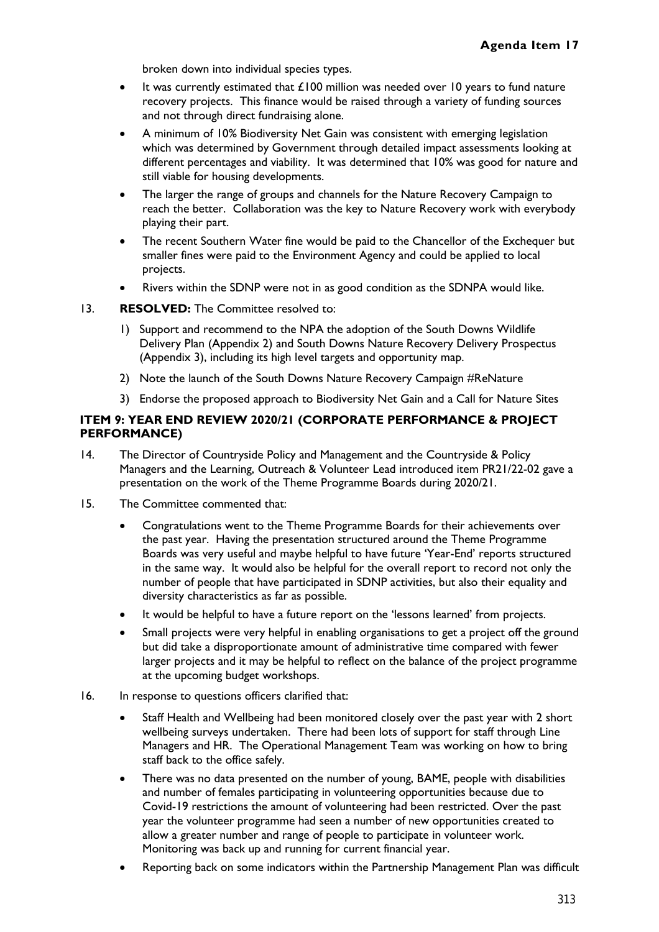broken down into individual species types.

- It was currently estimated that £100 million was needed over 10 years to fund nature recovery projects. This finance would be raised through a variety of funding sources and not through direct fundraising alone.
- A minimum of 10% Biodiversity Net Gain was consistent with emerging legislation which was determined by Government through detailed impact assessments looking at different percentages and viability. It was determined that 10% was good for nature and still viable for housing developments.
- The larger the range of groups and channels for the Nature Recovery Campaign to reach the better. Collaboration was the key to Nature Recovery work with everybody playing their part.
- The recent Southern Water fine would be paid to the Chancellor of the Exchequer but smaller fines were paid to the Environment Agency and could be applied to local projects.
- Rivers within the SDNP were not in as good condition as the SDNPA would like.

#### 13. **RESOLVED:** The Committee resolved to:

- 1) Support and recommend to the NPA the adoption of the South Downs Wildlife Delivery Plan (Appendix 2) and South Downs Nature Recovery Delivery Prospectus (Appendix 3), including its high level targets and opportunity map.
- 2) Note the launch of the South Downs Nature Recovery Campaign #ReNature
- 3) Endorse the proposed approach to Biodiversity Net Gain and a Call for Nature Sites

### **ITEM 9: YEAR END REVIEW 2020/21 (CORPORATE PERFORMANCE & PROJECT PERFORMANCE)**

- 14. The Director of Countryside Policy and Management and the Countryside & Policy Managers and the Learning, Outreach & Volunteer Lead introduced item PR21/22-02 gave a presentation on the work of the Theme Programme Boards during 2020/21.
- 15. The Committee commented that:
	- Congratulations went to the Theme Programme Boards for their achievements over the past year. Having the presentation structured around the Theme Programme Boards was very useful and maybe helpful to have future 'Year-End' reports structured in the same way. It would also be helpful for the overall report to record not only the number of people that have participated in SDNP activities, but also their equality and diversity characteristics as far as possible.
	- It would be helpful to have a future report on the 'lessons learned' from projects.
	- Small projects were very helpful in enabling organisations to get a project off the ground but did take a disproportionate amount of administrative time compared with fewer larger projects and it may be helpful to reflect on the balance of the project programme at the upcoming budget workshops.
- 16. In response to questions officers clarified that:
	- Staff Health and Wellbeing had been monitored closely over the past year with 2 short wellbeing surveys undertaken. There had been lots of support for staff through Line Managers and HR. The Operational Management Team was working on how to bring staff back to the office safely.
	- There was no data presented on the number of young, BAME, people with disabilities and number of females participating in volunteering opportunities because due to Covid-19 restrictions the amount of volunteering had been restricted. Over the past year the volunteer programme had seen a number of new opportunities created to allow a greater number and range of people to participate in volunteer work. Monitoring was back up and running for current financial year.
	- Reporting back on some indicators within the Partnership Management Plan was difficult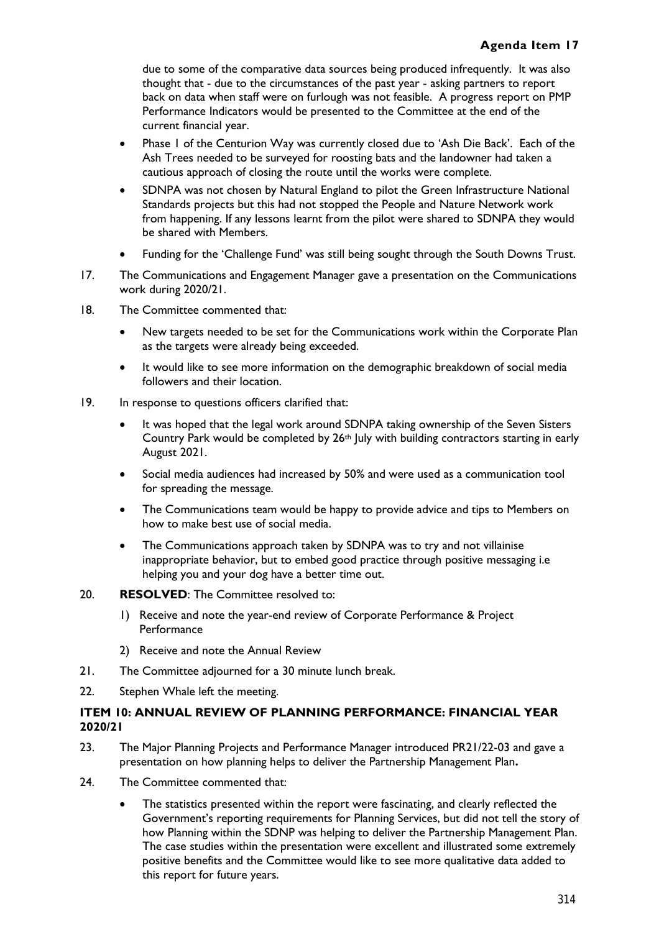due to some of the comparative data sources being produced infrequently. It was also thought that - due to the circumstances of the past year - asking partners to report back on data when staff were on furlough was not feasible. A progress report on PMP Performance Indicators would be presented to the Committee at the end of the current financial year.

- Phase 1 of the Centurion Way was currently closed due to 'Ash Die Back'. Each of the Ash Trees needed to be surveyed for roosting bats and the landowner had taken a cautious approach of closing the route until the works were complete.
- SDNPA was not chosen by Natural England to pilot the Green Infrastructure National Standards projects but this had not stopped the People and Nature Network work from happening. If any lessons learnt from the pilot were shared to SDNPA they would be shared with Members.
- Funding for the 'Challenge Fund' was still being sought through the South Downs Trust.
- 17. The Communications and Engagement Manager gave a presentation on the Communications work during 2020/21.
- 18. The Committee commented that:
	- New targets needed to be set for the Communications work within the Corporate Plan as the targets were already being exceeded.
	- It would like to see more information on the demographic breakdown of social media followers and their location.
- 19. In response to questions officers clarified that:
	- It was hoped that the legal work around SDNPA taking ownership of the Seven Sisters Country Park would be completed by  $26<sup>th</sup>$  July with building contractors starting in early August 2021.
	- Social media audiences had increased by 50% and were used as a communication tool for spreading the message.
	- The Communications team would be happy to provide advice and tips to Members on how to make best use of social media.
	- The Communications approach taken by SDNPA was to try and not villainise inappropriate behavior, but to embed good practice through positive messaging i.e helping you and your dog have a better time out.
- 20. **RESOLVED**: The Committee resolved to:
	- 1) Receive and note the year-end review of Corporate Performance & Project **Performance**
	- 2) Receive and note the Annual Review
- 21. The Committee adjourned for a 30 minute lunch break.
- 22. Stephen Whale left the meeting.

# **ITEM 10: ANNUAL REVIEW OF PLANNING PERFORMANCE: FINANCIAL YEAR 2020/21**

- 23. The Major Planning Projects and Performance Manager introduced PR21/22-03 and gave a presentation on how planning helps to deliver the Partnership Management Plan**.**
- 24. The Committee commented that:
	- The statistics presented within the report were fascinating, and clearly reflected the Government's reporting requirements for Planning Services, but did not tell the story of how Planning within the SDNP was helping to deliver the Partnership Management Plan. The case studies within the presentation were excellent and illustrated some extremely positive benefits and the Committee would like to see more qualitative data added to this report for future years.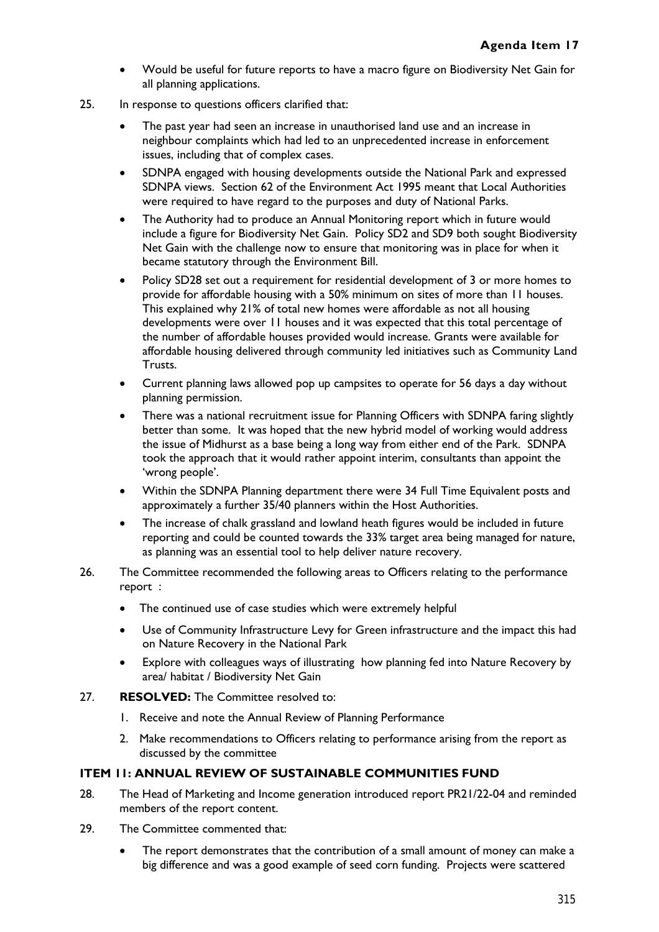- Would be useful for future reports to have a macro figure on Biodiversity Net Gain for all planning applications.
- 25. In response to questions officers clarified that:
	- The past year had seen an increase in unauthorised land use and an increase in neighbour complaints which had led to an unprecedented increase in enforcement issues, including that of complex cases.
	- SDNPA engaged with housing developments outside the National Park and expressed SDNPA views. Section 62 of the Environment Act 1995 meant that Local Authorities were required to have regard to the purposes and duty of National Parks.
	- The Authority had to produce an Annual Monitoring report which in future would include a figure for Biodiversity Net Gain. Policy SD2 and SD9 both sought Biodiversity Net Gain with the challenge now to ensure that monitoring was in place for when it became statutory through the Environment Bill.
	- Policy SD28 set out a requirement for residential development of 3 or more homes to provide for affordable housing with a 50% minimum on sites of more than 11 houses. This explained why 21% of total new homes were affordable as not all housing developments were over 11 houses and it was expected that this total percentage of the number of affordable houses provided would increase. Grants were available for affordable housing delivered through community led initiatives such as Community Land Trusts.
	- Current planning laws allowed pop up campsites to operate for 56 days a day without planning permission.
	- There was a national recruitment issue for Planning Officers with SDNPA faring slightly better than some. It was hoped that the new hybrid model of working would address the issue of Midhurst as a base being a long way from either end of the Park. SDNPA took the approach that it would rather appoint interim, consultants than appoint the 'wrong people'.
	- Within the SDNPA Planning department there were 34 Full Time Equivalent posts and approximately a further 35/40 planners within the Host Authorities.
	- The increase of chalk grassland and lowland heath figures would be included in future reporting and could be counted towards the 33% target area being managed for nature, as planning was an essential tool to help deliver nature recovery.
- 26. The Committee recommended the following areas to Officers relating to the performance report :
	- The continued use of case studies which were extremely helpful
	- Use of Community Infrastructure Levy for Green infrastructure and the impact this had on Nature Recovery in the National Park
	- Explore with colleagues ways of illustrating how planning fed into Nature Recovery by area/ habitat / Biodiversity Net Gain
- 27. **RESOLVED:** The Committee resolved to:
	- 1. Receive and note the Annual Review of Planning Performance
	- 2. Make recommendations to Officers relating to performance arising from the report as discussed by the committee

# **ITEM 11: ANNUAL REVIEW OF SUSTAINABLE COMMUNITIES FUND**

- 28. The Head of Marketing and Income generation introduced report PR21/22-04 and reminded members of the report content.
- 29. The Committee commented that:
	- The report demonstrates that the contribution of a small amount of money can make a big difference and was a good example of seed corn funding. Projects were scattered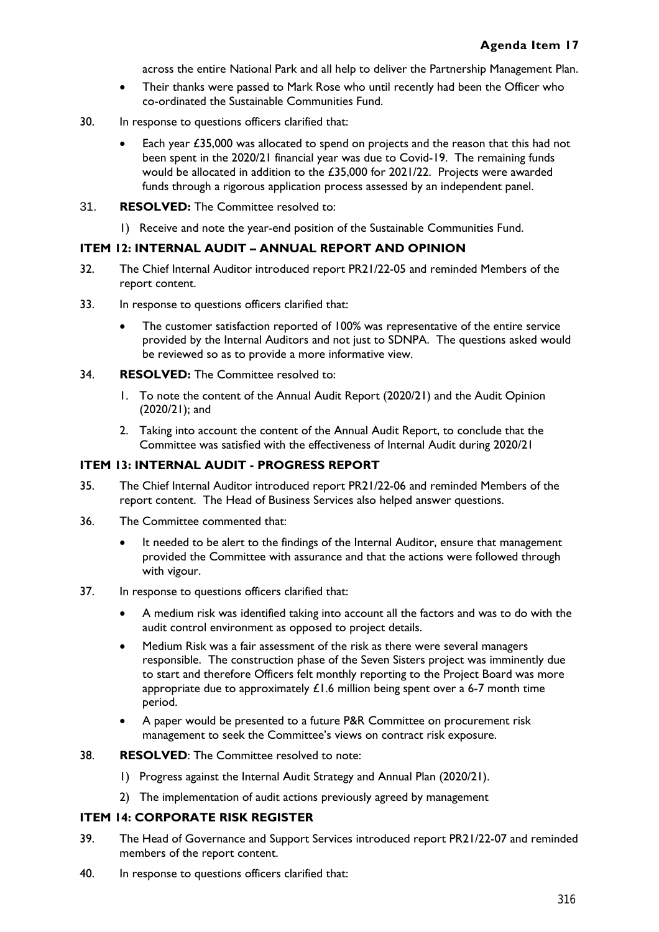across the entire National Park and all help to deliver the Partnership Management Plan.

- Their thanks were passed to Mark Rose who until recently had been the Officer who co-ordinated the Sustainable Communities Fund.
- 30. In response to questions officers clarified that:
	- Each year £35,000 was allocated to spend on projects and the reason that this had not been spent in the 2020/21 financial year was due to Covid-19. The remaining funds would be allocated in addition to the £35,000 for 2021/22. Projects were awarded funds through a rigorous application process assessed by an independent panel.

#### 31. **RESOLVED:** The Committee resolved to:

1) Receive and note the year-end position of the Sustainable Communities Fund.

### **ITEM 12: INTERNAL AUDIT – ANNUAL REPORT AND OPINION**

- 32. The Chief Internal Auditor introduced report PR21/22-05 and reminded Members of the report content.
- 33. In response to questions officers clarified that:
	- The customer satisfaction reported of 100% was representative of the entire service provided by the Internal Auditors and not just to SDNPA. The questions asked would be reviewed so as to provide a more informative view.
- 34. **RESOLVED:** The Committee resolved to:
	- 1. To note the content of the Annual Audit Report (2020/21) and the Audit Opinion (2020/21); and
	- 2. Taking into account the content of the Annual Audit Report, to conclude that the Committee was satisfied with the effectiveness of Internal Audit during 2020/21

#### **ITEM 13: INTERNAL AUDIT - PROGRESS REPORT**

- 35. The Chief Internal Auditor introduced report PR21/22-06 and reminded Members of the report content. The Head of Business Services also helped answer questions.
- 36. The Committee commented that:
	- It needed to be alert to the findings of the Internal Auditor, ensure that management provided the Committee with assurance and that the actions were followed through with vigour.
- 37. In response to questions officers clarified that:
	- A medium risk was identified taking into account all the factors and was to do with the audit control environment as opposed to project details.
	- Medium Risk was a fair assessment of the risk as there were several managers responsible. The construction phase of the Seven Sisters project was imminently due to start and therefore Officers felt monthly reporting to the Project Board was more appropriate due to approximately  $£1.6$  million being spent over a 6-7 month time period.
	- A paper would be presented to a future P&R Committee on procurement risk management to seek the Committee's views on contract risk exposure.
- 38. **RESOLVED**: The Committee resolved to note:
	- 1) Progress against the Internal Audit Strategy and Annual Plan (2020/21).
	- 2) The implementation of audit actions previously agreed by management

# **ITEM 14: CORPORATE RISK REGISTER**

- 39. The Head of Governance and Support Services introduced report PR21/22-07 and reminded members of the report content.
- 40. In response to questions officers clarified that: